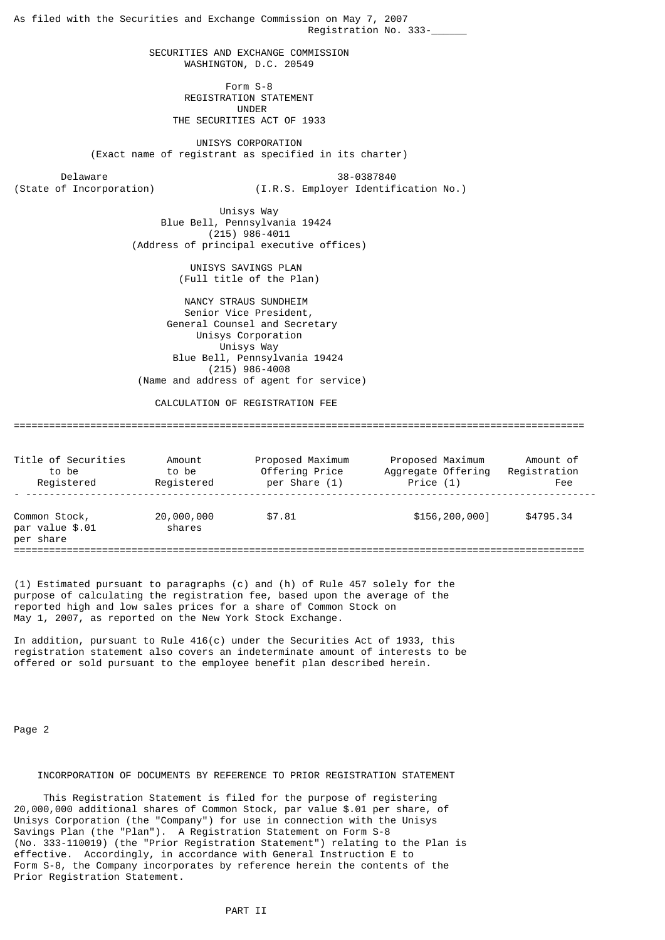As filed with the Securities and Exchange Commission on May 7, 2007 Registration No. 333-\_\_\_\_\_\_ SECURITIES AND EXCHANGE COMMISSION WASHINGTON, D.C. 20549 Form S-8 REGISTRATION STATEMENT UNDER THE SECURITIES ACT OF 1933 UNISYS CORPORATION (Exact name of registrant as specified in its charter) Delaware 38-0387840<br>(State of Incorporation) (I.R.S. Employer Identif (I.R.S. Employer Identification No.) Unisys Way Blue Bell, Pennsylvania 19424 (215) 986-4011 (Address of principal executive offices) UNISYS SAVINGS PLAN (Full title of the Plan) NANCY STRAUS SUNDHEIM Senior Vice President, General Counsel and Secretary Unisys Corporation Unisys Way Blue Bell, Pennsylvania 19424 (215) 986-4008 (Name and address of agent for service) CALCULATION OF REGISTRATION FEE ================================================================================================= Title of Securities Amount Proposed Maximum Proposed Maximum Amount of to be to be Offering Price Aggregate Offering Registration Registered Registered per Share (1) Price (1) Fee - -------------------------------------------------------------------------------------------------

Common Stock, 20,000,000 \$7.81 \$156,200,000] \$4795.34<br>par value \$.01 \$hares  $par$  value  $$.01$ per share =================================================================================================

(1) Estimated pursuant to paragraphs (c) and (h) of Rule 457 solely for the purpose of calculating the registration fee, based upon the average of the reported high and low sales prices for a share of Common Stock on May 1, 2007, as reported on the New York Stock Exchange.

In addition, pursuant to Rule  $416(c)$  under the Securities Act of 1933, this registration statement also covers an indeterminate amount of interests to be offered or sold pursuant to the employee benefit plan described herein.

Page 2

### INCORPORATION OF DOCUMENTS BY REFERENCE TO PRIOR REGISTRATION STATEMENT

 This Registration Statement is filed for the purpose of registering 20,000,000 additional shares of Common Stock, par value \$.01 per share, of Unisys Corporation (the "Company") for use in connection with the Unisys Savings Plan (the "Plan"). A Registration Statement on Form S-8 (No. 333-110019) (the "Prior Registration Statement") relating to the Plan is effective. Accordingly, in accordance with General Instruction E to Form S-8, the Company incorporates by reference herein the contents of the Prior Registration Statement.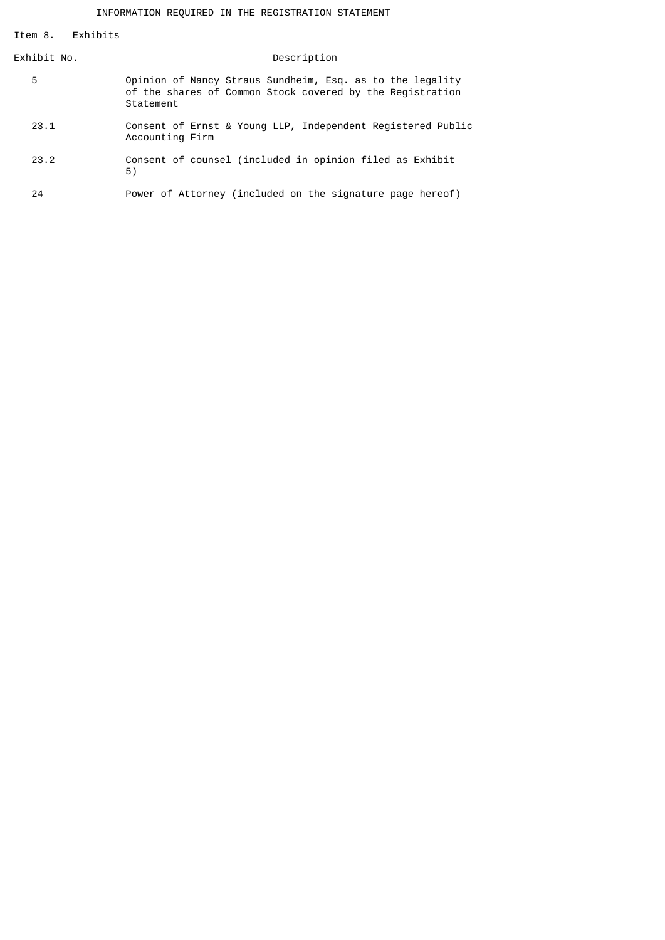Item 8. Exhibits

| Exhibit No. | Description                                                                                                                         |
|-------------|-------------------------------------------------------------------------------------------------------------------------------------|
| 5           | Opinion of Nancy Straus Sundheim, Esq. as to the legality<br>of the shares of Common Stock covered by the Registration<br>Statement |
| 23.1        | Consent of Ernst & Young LLP, Independent Registered Public<br>Accounting Firm                                                      |
| 23.2        | Consent of counsel (included in opinion filed as Exhibit<br>5)                                                                      |
| 24          | Power of Attorney (included on the signature page hereof)                                                                           |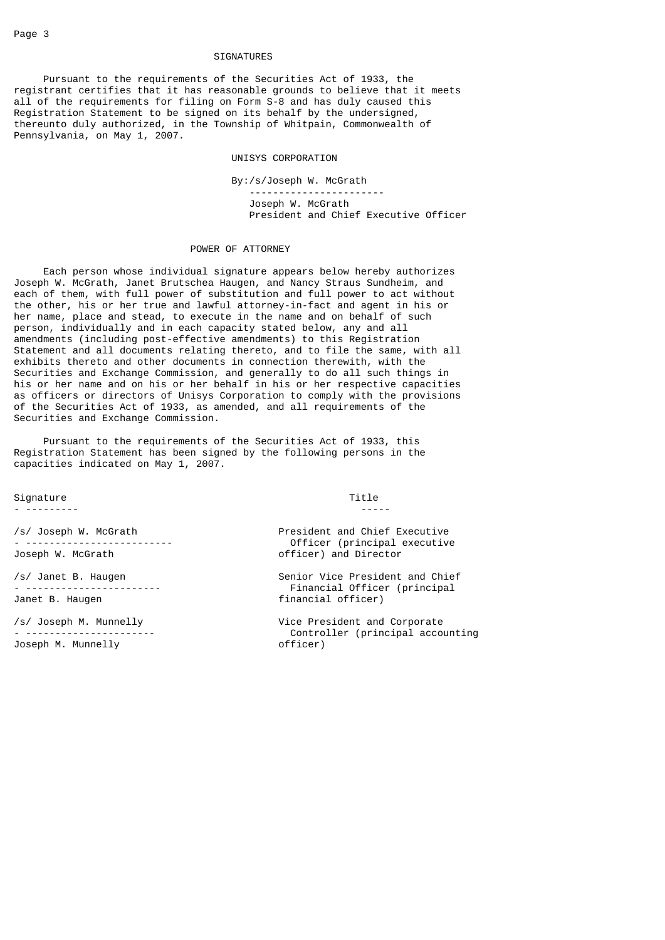#### SIGNATURES

 Pursuant to the requirements of the Securities Act of 1933, the registrant certifies that it has reasonable grounds to believe that it meets all of the requirements for filing on Form S-8 and has duly caused this Registration Statement to be signed on its behalf by the undersigned, thereunto duly authorized, in the Township of Whitpain, Commonwealth of Pennsylvania, on May 1, 2007.

### UNISYS CORPORATION

 By:/s/Joseph W. McGrath ----------------------- Joseph W. McGrath President and Chief Executive Officer

#### POWER OF ATTORNEY

 Each person whose individual signature appears below hereby authorizes Joseph W. McGrath, Janet Brutschea Haugen, and Nancy Straus Sundheim, and each of them, with full power of substitution and full power to act without the other, his or her true and lawful attorney-in-fact and agent in his or her name, place and stead, to execute in the name and on behalf of such person, individually and in each capacity stated below, any and all amendments (including post-effective amendments) to this Registration Statement and all documents relating thereto, and to file the same, with all exhibits thereto and other documents in connection therewith, with the Securities and Exchange Commission, and generally to do all such things in his or her name and on his or her behalf in his or her respective capacities as officers or directors of Unisys Corporation to comply with the provisions of the Securities Act of 1933, as amended, and all requirements of the Securities and Exchange Commission.

 Pursuant to the requirements of the Securities Act of 1933, this Registration Statement has been signed by the following persons in the capacities indicated on May 1, 2007.

Signature **Title** 

 $-$  --------  $-$ 

Joseph M. Munnelly **Example 20** officer)

/s/ Joseph W. McGrath President and Chief Executive - ------------------------- Officer (principal executive officer) and Director

/s/ Janet B. Haugen Senior Vice President and Chief - ----------------------- Financial Officer (principal Janet B. Haugen financial officer)

/s/ Joseph M. Munnelly Vice President and Corporate Controller (principal accounting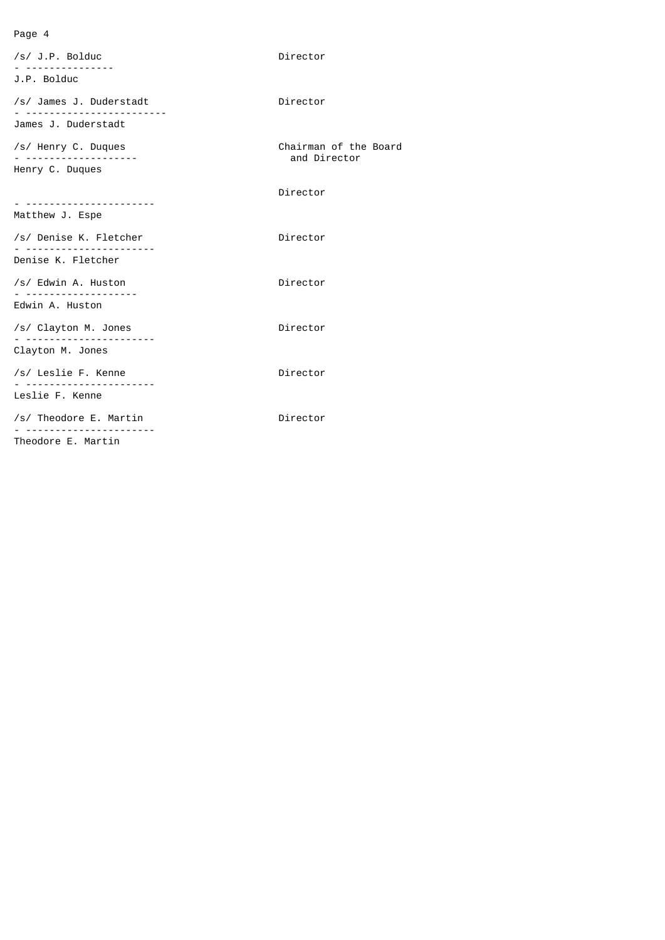# Page 4

| $/s/$ J.P. Bolduc                       | Director                              |
|-----------------------------------------|---------------------------------------|
| J.P. Bolduc                             |                                       |
| /s/ James J. Duderstadt<br>. <u>.</u> . | Director                              |
| James J. Duderstadt                     |                                       |
| /s/ Henry C. Duques                     | Chairman of the Board<br>and Director |
| Henry C. Duques                         |                                       |
|                                         | Director                              |
| Matthew J. Espe                         |                                       |
| /s/ Denise K. Fletcher                  | Director                              |
| Denise K. Fletcher                      |                                       |
| /s/ Edwin A. Huston                     | Director                              |
| Edwin A. Huston                         |                                       |
| /s/ Clayton M. Jones                    | Director                              |
| Clayton M. Jones                        |                                       |
| /s/ Leslie F. Kenne                     | Director                              |
| Leslie F. Kenne                         |                                       |
| /s/ Theodore E. Martin                  | Director                              |
| Theodore E. Martin                      |                                       |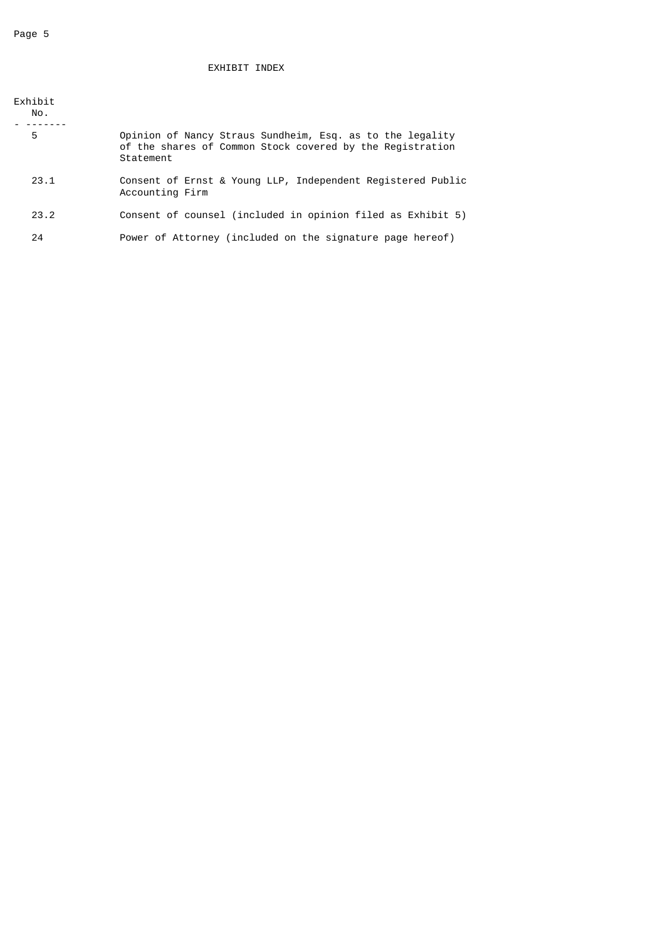# EXHIBIT INDEX

| Exhibit<br>No. |                                                                                                                                     |
|----------------|-------------------------------------------------------------------------------------------------------------------------------------|
| 5              | Opinion of Nancy Straus Sundheim, Esq. as to the legality<br>of the shares of Common Stock covered by the Registration<br>Statement |
| 23.1           | Consent of Ernst & Young LLP, Independent Registered Public<br>Accounting Firm                                                      |
| 23.2           | Consent of counsel (included in opinion filed as Exhibit 5)                                                                         |
| 24             | Power of Attorney (included on the signature page hereof)                                                                           |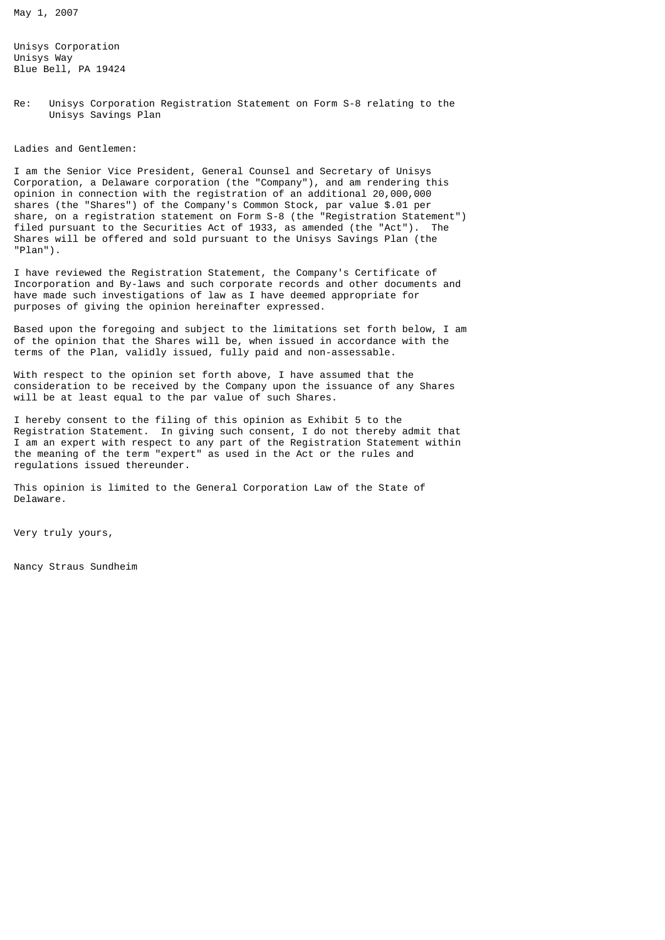May 1, 2007

Unisys Corporation Unisys Way Blue Bell, PA 19424

Re: Unisys Corporation Registration Statement on Form S-8 relating to the Unisys Savings Plan

Ladies and Gentlemen:

I am the Senior Vice President, General Counsel and Secretary of Unisys Corporation, a Delaware corporation (the "Company"), and am rendering this opinion in connection with the registration of an additional 20,000,000 shares (the "Shares") of the Company's Common Stock, par value \$.01 per share, on a registration statement on Form S-8 (the "Registration Statement") filed pursuant to the Securities Act of 1933, as amended (the "Act"). The Shares will be offered and sold pursuant to the Unisys Savings Plan (the "Plan").

I have reviewed the Registration Statement, the Company's Certificate of Incorporation and By-laws and such corporate records and other documents and have made such investigations of law as I have deemed appropriate for purposes of giving the opinion hereinafter expressed.

Based upon the foregoing and subject to the limitations set forth below, I am of the opinion that the Shares will be, when issued in accordance with the terms of the Plan, validly issued, fully paid and non-assessable.

With respect to the opinion set forth above, I have assumed that the consideration to be received by the Company upon the issuance of any Shares will be at least equal to the par value of such Shares.

I hereby consent to the filing of this opinion as Exhibit 5 to the Registration Statement. In giving such consent, I do not thereby admit that I am an expert with respect to any part of the Registration Statement within the meaning of the term "expert" as used in the Act or the rules and regulations issued thereunder.

This opinion is limited to the General Corporation Law of the State of Delaware.

Very truly yours,

Nancy Straus Sundheim